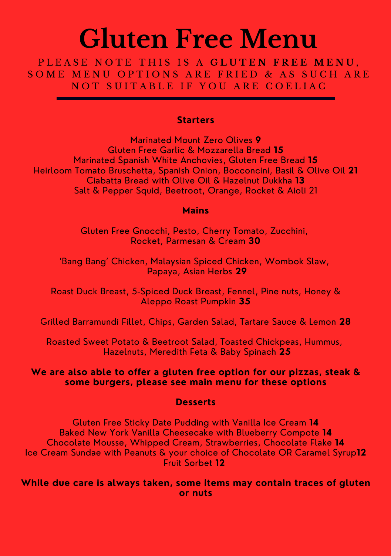# **Gluten Free Menu**

P L E A S E N O T E T H I S I S A **G L U T E N F R E E M E N U** , SOME MENU OPTIONS ARE FRIED & AS SUCH ARE NOT SUITABLE IF YOU ARE COELIAC

### **Starters**

Marinated Mount Zero Olives **9** Gluten Free Garlic & Mozzarella Bread **15** Marinated Spanish White Anchovies, Gluten Free Bread **15** Heirloom Tomato Bruschetta, Spanish Onion, Bocconcini, Basil & Olive Oil **21** Ciabatta Bread with Olive Oil & Hazelnut Dukkha **13** Salt & Pepper Squid, Beetroot, Orange, Rocket & Aioli 21

### **Mains**

Gluten Free Gnocchi, Pesto, Cherry Tomato, Zucchini, Rocket, Parmesan & Cream **30**

'Bang Bang' Chicken, Malaysian Spiced Chicken, Wombok Slaw, Papaya, Asian Herbs **29**

Roast Duck Breast, 5-Spiced Duck Breast, Fennel, Pine nuts, Honey & Aleppo Roast Pumpkin **35**

Grilled Barramundi Fillet, Chips, Garden Salad, Tartare Sauce & Lemon **28**

Roasted Sweet Potato & Beetroot Salad, Toasted Chickpeas, Hummus, Hazelnuts, Meredith Feta & Baby Spinach **25**

**We are also able to offer a gluten free option for our pizzas, steak & some burgers, please see main menu for these options**

### **Desserts**

Gluten Free Sticky Date Pudding with Vanilla Ice Cream **14** Baked New York Vanilla Cheesecake with Blueberry Compote **14** Chocolate Mousse, Whipped Cream, Strawberries, Chocolate Flake **14** Ice Cream Sundae with Peanuts & your choice of Chocolate OR Caramel Syrup**12** Fruit Sorbet **12**

**While due care is always taken, some items may contain traces of gluten or nuts**